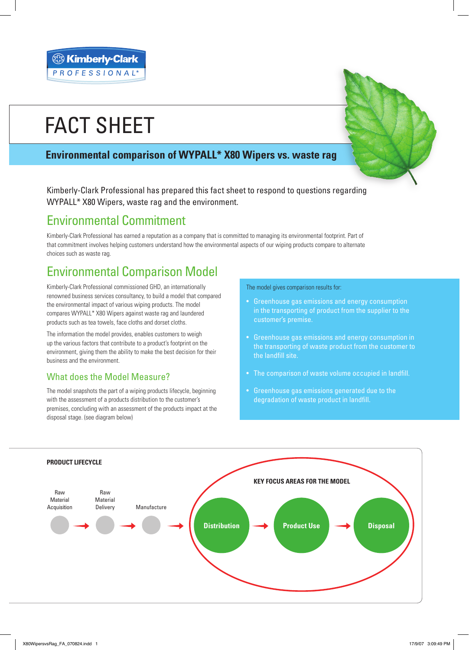# FACT SHEET

### **Environmental comparison of WYPALL\* X80 Wipers vs. waste rag**

Kimberly-Clark Professional has prepared this fact sheet to respond to questions regarding WYPALL\* X80 Wipers, waste rag and the environment.

### Environmental Commitment

Kimberly-Clark Professional has earned a reputation as a company that is committed to managing its environmental footprint. Part of that commitment involves helping customers understand how the environmental aspects of our wiping products compare to alternate choices such as waste rag.

## Environmental Comparison Model

Kimberly-Clark Professional commissioned GHD, an internationally renowned business services consultancy, to build a model that compared the environmental impact of various wiping products. The model compares WYPALL\* X80 Wipers against waste rag and laundered products such as tea towels, face cloths and dorset cloths.

The information the model provides, enables customers to weigh up the various factors that contribute to a product's footprint on the environment, giving them the ability to make the best decision for their business and the environment.

### What does the Model Measure?

The model snapshots the part of a wiping products lifecycle, beginning with the assessment of a products distribution to the customer's premises, concluding with an assessment of the products impact at the disposal stage. (see diagram below)

The model gives comparison results for:

- Greenhouse gas emissions and energy consumption in the transporting of product from the supplier to the customer's premise.
- Greenhouse gas emissions and energy consumption in the transporting of waste product from the customer to the landfill site.
- The comparison of waste volume occupied in landfill.
- Greenhouse gas emissions generated due to the degradation of waste product in landfill.